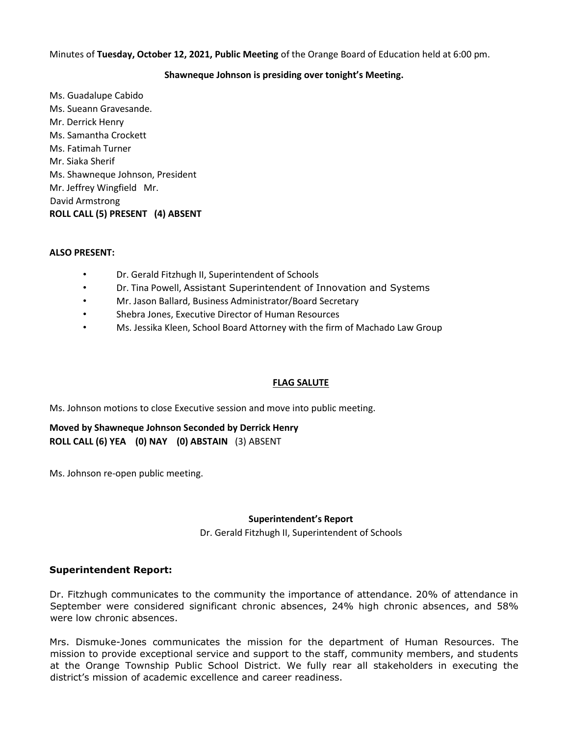#### Minutes of **Tuesday, October 12, 2021, Public Meeting** of the Orange Board of Education held at 6:00 pm.

#### **Shawneque Johnson is presiding over tonight's Meeting.**

Ms. Guadalupe Cabido Ms. Sueann Gravesande. Mr. Derrick Henry Ms. Samantha Crockett Ms. Fatimah Turner Mr. Siaka Sherif Ms. Shawneque Johnson, President Mr. Jeffrey Wingfield Mr. David Armstrong **ROLL CALL (5) PRESENT (4) ABSENT** 

#### **ALSO PRESENT:**

- Dr. Gerald Fitzhugh II, Superintendent of Schools
- Dr. Tina Powell, Assistant Superintendent of Innovation and Systems
- Mr. Jason Ballard, Business Administrator/Board Secretary
- Shebra Jones, Executive Director of Human Resources
- Ms. Jessika Kleen, School Board Attorney with the firm of Machado Law Group

#### **FLAG SALUTE**

Ms. Johnson motions to close Executive session and move into public meeting.

**Moved by Shawneque Johnson Seconded by Derrick Henry ROLL CALL (6) YEA (0) NAY (0) ABSTAIN** (3) ABSENT

Ms. Johnson re-open public meeting.

#### **Superintendent's Report**

Dr. Gerald Fitzhugh II, Superintendent of Schools

#### **Superintendent Report:**

Dr. Fitzhugh communicates to the community the importance of attendance. 20% of attendance in September were considered significant chronic absences, 24% high chronic absences, and 58% were low chronic absences.

Mrs. Dismuke-Jones communicates the mission for the department of Human Resources. The mission to provide exceptional service and support to the staff, community members, and students at the Orange Township Public School District. We fully rear all stakeholders in executing the district's mission of academic excellence and career readiness.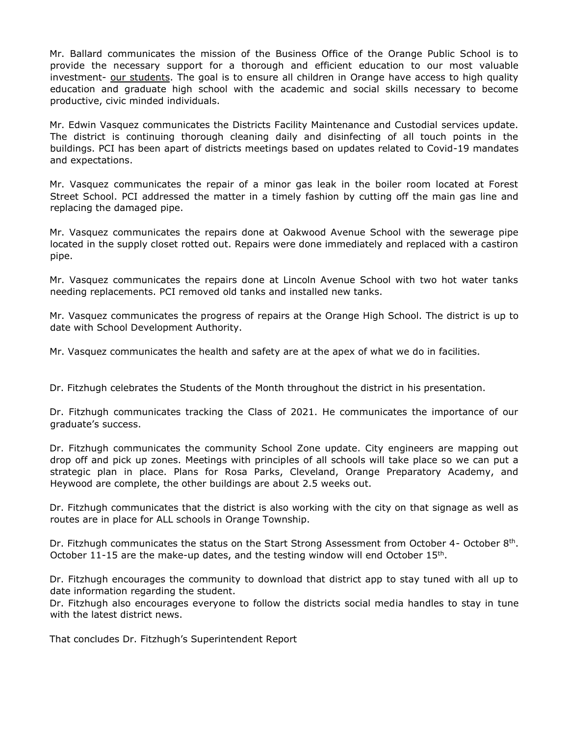Mr. Ballard communicates the mission of the Business Office of the Orange Public School is to provide the necessary support for a thorough and efficient education to our most valuable investment- our students. The goal is to ensure all children in Orange have access to high quality education and graduate high school with the academic and social skills necessary to become productive, civic minded individuals.

Mr. Edwin Vasquez communicates the Districts Facility Maintenance and Custodial services update. The district is continuing thorough cleaning daily and disinfecting of all touch points in the buildings. PCI has been apart of districts meetings based on updates related to Covid-19 mandates and expectations.

Mr. Vasquez communicates the repair of a minor gas leak in the boiler room located at Forest Street School. PCI addressed the matter in a timely fashion by cutting off the main gas line and replacing the damaged pipe.

Mr. Vasquez communicates the repairs done at Oakwood Avenue School with the sewerage pipe located in the supply closet rotted out. Repairs were done immediately and replaced with a castiron pipe.

Mr. Vasquez communicates the repairs done at Lincoln Avenue School with two hot water tanks needing replacements. PCI removed old tanks and installed new tanks.

Mr. Vasquez communicates the progress of repairs at the Orange High School. The district is up to date with School Development Authority.

Mr. Vasquez communicates the health and safety are at the apex of what we do in facilities.

Dr. Fitzhugh celebrates the Students of the Month throughout the district in his presentation.

Dr. Fitzhugh communicates tracking the Class of 2021. He communicates the importance of our graduate's success.

Dr. Fitzhugh communicates the community School Zone update. City engineers are mapping out drop off and pick up zones. Meetings with principles of all schools will take place so we can put a strategic plan in place. Plans for Rosa Parks, Cleveland, Orange Preparatory Academy, and Heywood are complete, the other buildings are about 2.5 weeks out.

Dr. Fitzhugh communicates that the district is also working with the city on that signage as well as routes are in place for ALL schools in Orange Township.

Dr. Fitzhugh communicates the status on the Start Strong Assessment from October 4- October  $8<sup>th</sup>$ . October 11-15 are the make-up dates, and the testing window will end October  $15<sup>th</sup>$ .

Dr. Fitzhugh encourages the community to download that district app to stay tuned with all up to date information regarding the student.

Dr. Fitzhugh also encourages everyone to follow the districts social media handles to stay in tune with the latest district news.

That concludes Dr. Fitzhugh's Superintendent Report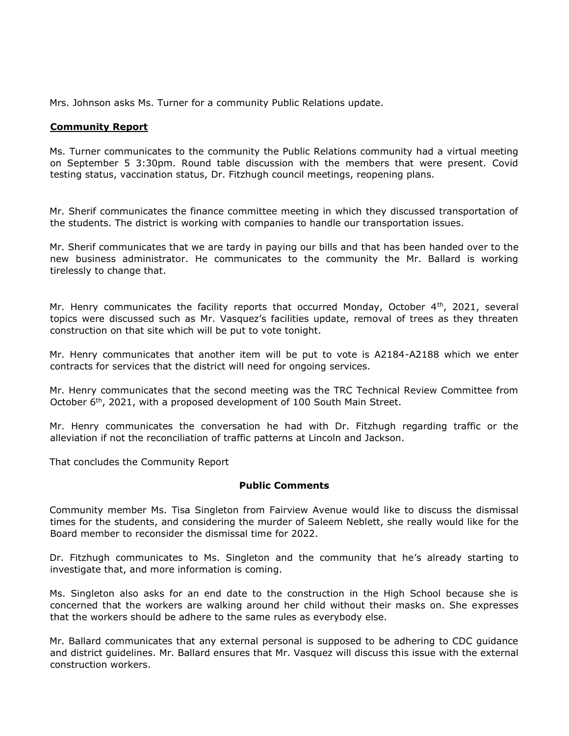Mrs. Johnson asks Ms. Turner for a community Public Relations update.

#### **Community Report**

Ms. Turner communicates to the community the Public Relations community had a virtual meeting on September 5 3:30pm. Round table discussion with the members that were present. Covid testing status, vaccination status, Dr. Fitzhugh council meetings, reopening plans.

Mr. Sherif communicates the finance committee meeting in which they discussed transportation of the students. The district is working with companies to handle our transportation issues.

Mr. Sherif communicates that we are tardy in paying our bills and that has been handed over to the new business administrator. He communicates to the community the Mr. Ballard is working tirelessly to change that.

Mr. Henry communicates the facility reports that occurred Monday, October  $4<sup>th</sup>$ , 2021, several topics were discussed such as Mr. Vasquez's facilities update, removal of trees as they threaten construction on that site which will be put to vote tonight.

Mr. Henry communicates that another item will be put to vote is A2184-A2188 which we enter contracts for services that the district will need for ongoing services.

Mr. Henry communicates that the second meeting was the TRC Technical Review Committee from October 6<sup>th</sup>, 2021, with a proposed development of 100 South Main Street.

Mr. Henry communicates the conversation he had with Dr. Fitzhugh regarding traffic or the alleviation if not the reconciliation of traffic patterns at Lincoln and Jackson.

That concludes the Community Report

#### **Public Comments**

Community member Ms. Tisa Singleton from Fairview Avenue would like to discuss the dismissal times for the students, and considering the murder of Saleem Neblett, she really would like for the Board member to reconsider the dismissal time for 2022.

Dr. Fitzhugh communicates to Ms. Singleton and the community that he's already starting to investigate that, and more information is coming.

Ms. Singleton also asks for an end date to the construction in the High School because she is concerned that the workers are walking around her child without their masks on. She expresses that the workers should be adhere to the same rules as everybody else.

Mr. Ballard communicates that any external personal is supposed to be adhering to CDC guidance and district guidelines. Mr. Ballard ensures that Mr. Vasquez will discuss this issue with the external construction workers.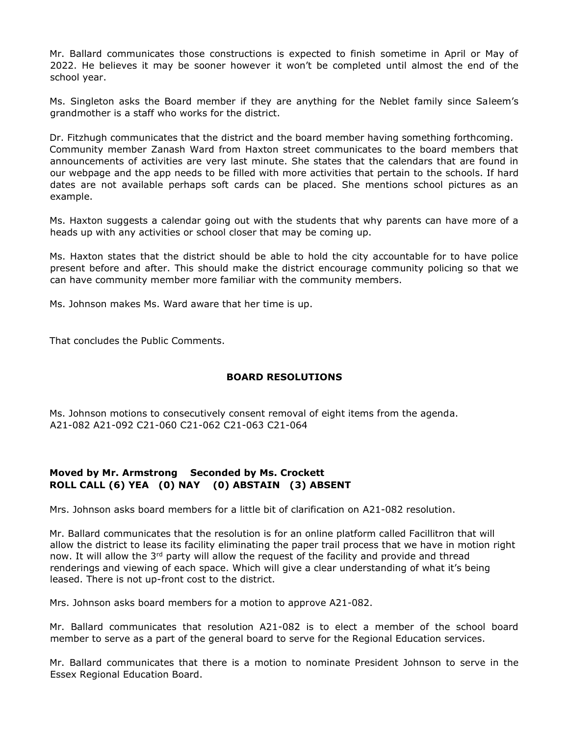Mr. Ballard communicates those constructions is expected to finish sometime in April or May of 2022. He believes it may be sooner however it won't be completed until almost the end of the school year.

Ms. Singleton asks the Board member if they are anything for the Neblet family since Saleem's grandmother is a staff who works for the district.

Dr. Fitzhugh communicates that the district and the board member having something forthcoming. Community member Zanash Ward from Haxton street communicates to the board members that announcements of activities are very last minute. She states that the calendars that are found in our webpage and the app needs to be filled with more activities that pertain to the schools. If hard dates are not available perhaps soft cards can be placed. She mentions school pictures as an example.

Ms. Haxton suggests a calendar going out with the students that why parents can have more of a heads up with any activities or school closer that may be coming up.

Ms. Haxton states that the district should be able to hold the city accountable for to have police present before and after. This should make the district encourage community policing so that we can have community member more familiar with the community members.

Ms. Johnson makes Ms. Ward aware that her time is up.

That concludes the Public Comments.

#### **BOARD RESOLUTIONS**

Ms. Johnson motions to consecutively consent removal of eight items from the agenda. A21-082 A21-092 C21-060 C21-062 C21-063 C21-064

# **Moved by Mr. Armstrong Seconded by Ms. Crockett ROLL CALL (6) YEA (0) NAY (0) ABSTAIN (3) ABSENT**

Mrs. Johnson asks board members for a little bit of clarification on A21-082 resolution.

Mr. Ballard communicates that the resolution is for an online platform called Facillitron that will allow the district to lease its facility eliminating the paper trail process that we have in motion right now. It will allow the  $3<sup>rd</sup>$  party will allow the request of the facility and provide and thread renderings and viewing of each space. Which will give a clear understanding of what it's being leased. There is not up-front cost to the district.

Mrs. Johnson asks board members for a motion to approve A21-082.

Mr. Ballard communicates that resolution A21-082 is to elect a member of the school board member to serve as a part of the general board to serve for the Regional Education services.

Mr. Ballard communicates that there is a motion to nominate President Johnson to serve in the Essex Regional Education Board.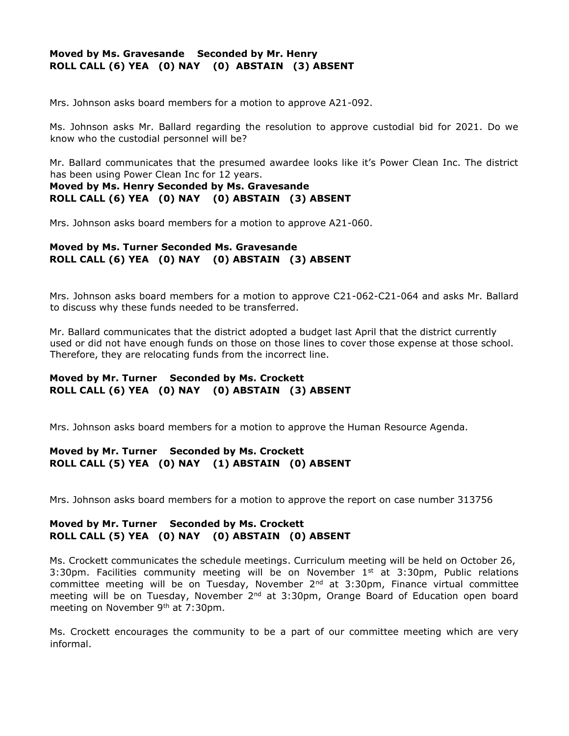# **Moved by Ms. Gravesande Seconded by Mr. Henry ROLL CALL (6) YEA (0) NAY (0) ABSTAIN (3) ABSENT**

Mrs. Johnson asks board members for a motion to approve A21-092.

Ms. Johnson asks Mr. Ballard regarding the resolution to approve custodial bid for 2021. Do we know who the custodial personnel will be?

Mr. Ballard communicates that the presumed awardee looks like it's Power Clean Inc. The district has been using Power Clean Inc for 12 years.

# **Moved by Ms. Henry Seconded by Ms. Gravesande ROLL CALL (6) YEA (0) NAY (0) ABSTAIN (3) ABSENT**

Mrs. Johnson asks board members for a motion to approve A21-060.

# **Moved by Ms. Turner Seconded Ms. Gravesande ROLL CALL (6) YEA (0) NAY (0) ABSTAIN (3) ABSENT**

Mrs. Johnson asks board members for a motion to approve C21-062-C21-064 and asks Mr. Ballard to discuss why these funds needed to be transferred.

Mr. Ballard communicates that the district adopted a budget last April that the district currently used or did not have enough funds on those on those lines to cover those expense at those school. Therefore, they are relocating funds from the incorrect line.

# **Moved by Mr. Turner Seconded by Ms. Crockett ROLL CALL (6) YEA (0) NAY (0) ABSTAIN (3) ABSENT**

Mrs. Johnson asks board members for a motion to approve the Human Resource Agenda.

# **Moved by Mr. Turner Seconded by Ms. Crockett ROLL CALL (5) YEA (0) NAY (1) ABSTAIN (0) ABSENT**

Mrs. Johnson asks board members for a motion to approve the report on case number 313756

# **Moved by Mr. Turner Seconded by Ms. Crockett ROLL CALL (5) YEA (0) NAY (0) ABSTAIN (0) ABSENT**

Ms. Crockett communicates the schedule meetings. Curriculum meeting will be held on October 26, 3:30pm. Facilities community meeting will be on November  $1<sup>st</sup>$  at 3:30pm, Public relations committee meeting will be on Tuesday, November  $2^{nd}$  at 3:30pm, Finance virtual committee meeting will be on Tuesday, November  $2^{nd}$  at 3:30pm, Orange Board of Education open board meeting on November 9<sup>th</sup> at 7:30pm.

Ms. Crockett encourages the community to be a part of our committee meeting which are very informal.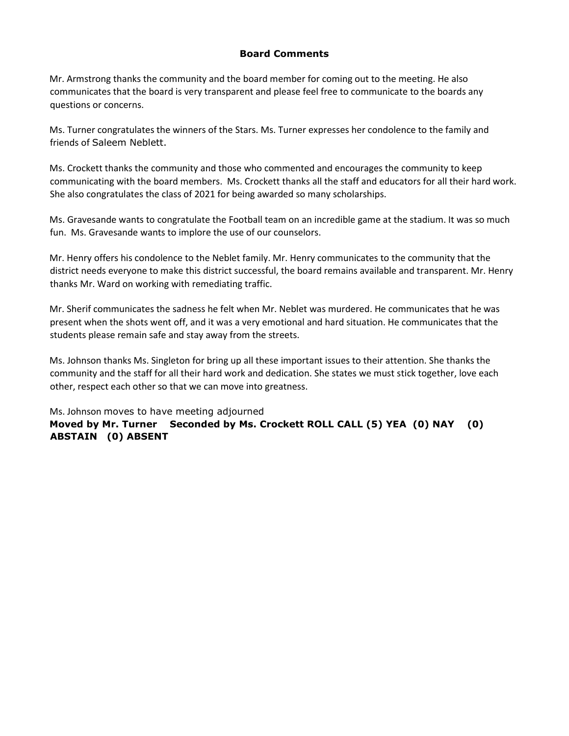# **Board Comments**

Mr. Armstrong thanks the community and the board member for coming out to the meeting. He also communicates that the board is very transparent and please feel free to communicate to the boards any questions or concerns.

Ms. Turner congratulates the winners of the Stars. Ms. Turner expresses her condolence to the family and friends of Saleem Neblett.

Ms. Crockett thanks the community and those who commented and encourages the community to keep communicating with the board members. Ms. Crockett thanks all the staff and educators for all their hard work. She also congratulates the class of 2021 for being awarded so many scholarships.

Ms. Gravesande wants to congratulate the Football team on an incredible game at the stadium. It was so much fun. Ms. Gravesande wants to implore the use of our counselors.

Mr. Henry offers his condolence to the Neblet family. Mr. Henry communicates to the community that the district needs everyone to make this district successful, the board remains available and transparent. Mr. Henry thanks Mr. Ward on working with remediating traffic.

Mr. Sherif communicates the sadness he felt when Mr. Neblet was murdered. He communicates that he was present when the shots went off, and it was a very emotional and hard situation. He communicates that the students please remain safe and stay away from the streets.

Ms. Johnson thanks Ms. Singleton for bring up all these important issues to their attention. She thanks the community and the staff for all their hard work and dedication. She states we must stick together, love each other, respect each other so that we can move into greatness.

Ms. Johnson moves to have meeting adjourned

**Moved by Mr. Turner Seconded by Ms. Crockett ROLL CALL (5) YEA (0) NAY (0) ABSTAIN (0) ABSENT**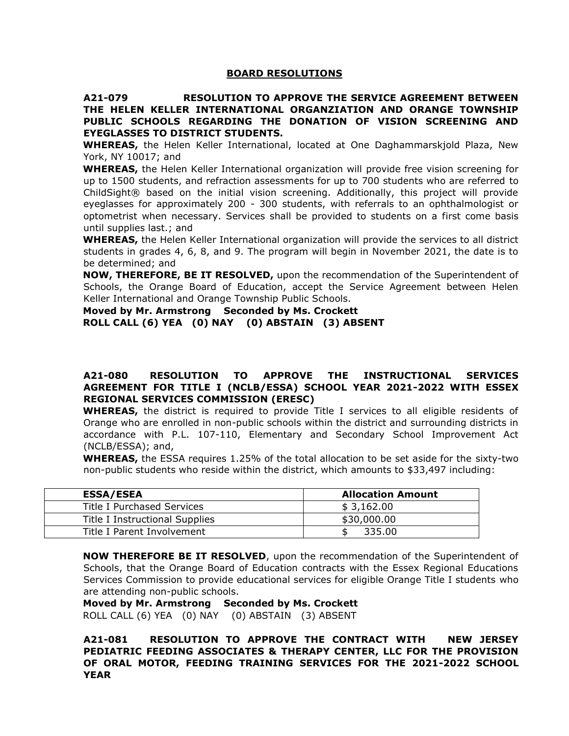#### **BOARD RESOLUTIONS**

**A21-079 RESOLUTION TO APPROVE THE SERVICE AGREEMENT BETWEEN THE HELEN KELLER INTERNATIONAL ORGANZIATION AND ORANGE TOWNSHIP PUBLIC SCHOOLS REGARDING THE DONATION OF VISION SCREENING AND EYEGLASSES TO DISTRICT STUDENTS.**

**WHEREAS,** the Helen Keller International, located at One Daghammarskjold Plaza, New York, NY 10017; and

**WHEREAS,** the Helen Keller International organization will provide free vision screening for up to 1500 students, and refraction assessments for up to 700 students who are referred to ChildSight® based on the initial vision screening. Additionally, this project will provide eyeglasses for approximately 200 - 300 students, with referrals to an ophthalmologist or optometrist when necessary. Services shall be provided to students on a first come basis until supplies last.; and

**WHEREAS,** the Helen Keller International organization will provide the services to all district students in grades 4, 6, 8, and 9. The program will begin in November 2021, the date is to be determined; and

**NOW, THEREFORE, BE IT RESOLVED,** upon the recommendation of the Superintendent of Schools, the Orange Board of Education, accept the Service Agreement between Helen Keller International and Orange Township Public Schools.

**Moved by Mr. Armstrong Seconded by Ms. Crockett ROLL CALL (6) YEA (0) NAY (0) ABSTAIN (3) ABSENT** 

#### **A21-080 RESOLUTION TO APPROVE THE INSTRUCTIONAL SERVICES AGREEMENT FOR TITLE I (NCLB/ESSA) SCHOOL YEAR 2021-2022 WITH ESSEX REGIONAL SERVICES COMMISSION (ERESC)**

**WHEREAS,** the district is required to provide Title I services to all eligible residents of Orange who are enrolled in non-public schools within the district and surrounding districts in accordance with P.L. 107-110, Elementary and Secondary School Improvement Act (NCLB/ESSA); and,

**WHEREAS,** the ESSA requires 1.25% of the total allocation to be set aside for the sixty-two non-public students who reside within the district, which amounts to \$33,497 including:

| <b>ESSA/ESEA</b>               | <b>Allocation Amount</b> |
|--------------------------------|--------------------------|
| Title I Purchased Services     | \$3,162.00               |
| Title I Instructional Supplies | \$30,000.00              |
| Title I Parent Involvement     | 335.00                   |

**NOW THEREFORE BE IT RESOLVED**, upon the recommendation of the Superintendent of Schools, that the Orange Board of Education contracts with the Essex Regional Educations Services Commission to provide educational services for eligible Orange Title I students who are attending non-public schools.

**Moved by Mr. Armstrong Seconded by Ms. Crockett**  ROLL CALL (6) YEA (0) NAY (0) ABSTAIN (3) ABSENT

**A21-081 RESOLUTION TO APPROVE THE CONTRACT WITH NEW JERSEY PEDIATRIC FEEDING ASSOCIATES & THERAPY CENTER, LLC FOR THE PROVISION OF ORAL MOTOR, FEEDING TRAINING SERVICES FOR THE 2021-2022 SCHOOL YEAR**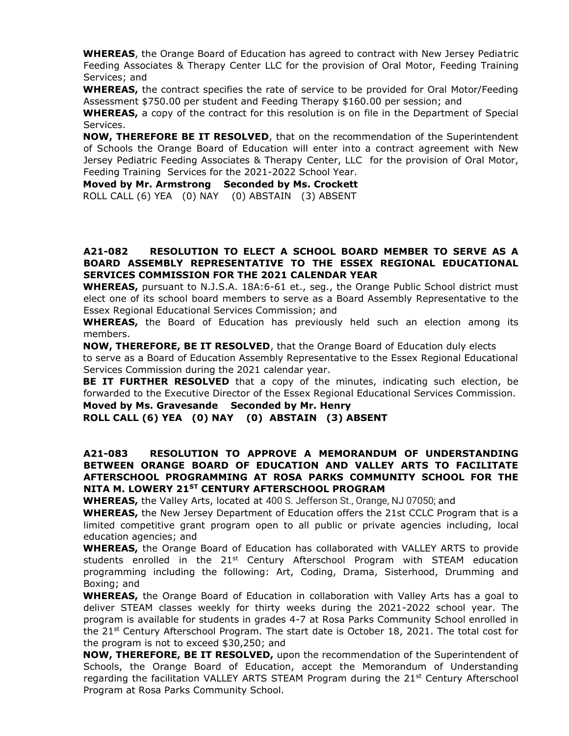**WHEREAS**, the Orange Board of Education has agreed to contract with New Jersey Pediatric Feeding Associates & Therapy Center LLC for the provision of Oral Motor, Feeding Training Services; and

**WHEREAS,** the contract specifies the rate of service to be provided for Oral Motor/Feeding Assessment \$750.00 per student and Feeding Therapy \$160.00 per session; and

**WHEREAS,** a copy of the contract for this resolution is on file in the Department of Special Services.

**NOW, THEREFORE BE IT RESOLVED**, that on the recommendation of the Superintendent of Schools the Orange Board of Education will enter into a contract agreement with New Jersey Pediatric Feeding Associates & Therapy Center, LLC for the provision of Oral Motor, Feeding Training Services for the 2021-2022 School Year.

**Moved by Mr. Armstrong Seconded by Ms. Crockett**  ROLL CALL (6) YEA (0) NAY (0) ABSTAIN (3) ABSENT

#### **A21-082 RESOLUTION TO ELECT A SCHOOL BOARD MEMBER TO SERVE AS A BOARD ASSEMBLY REPRESENTATIVE TO THE ESSEX REGIONAL EDUCATIONAL SERVICES COMMISSION FOR THE 2021 CALENDAR YEAR**

**WHEREAS,** pursuant to N.J.S.A. 18A:6-61 et., seg., the Orange Public School district must elect one of its school board members to serve as a Board Assembly Representative to the Essex Regional Educational Services Commission; and

**WHEREAS,** the Board of Education has previously held such an election among its members.

**NOW, THEREFORE, BE IT RESOLVED**, that the Orange Board of Education duly elects to serve as a Board of Education Assembly Representative to the Essex Regional Educational Services Commission during the 2021 calendar year.

**BE IT FURTHER RESOLVED** that a copy of the minutes, indicating such election, be forwarded to the Executive Director of the Essex Regional Educational Services Commission.

**Moved by Ms. Gravesande Seconded by Mr. Henry** 

**ROLL CALL (6) YEA (0) NAY (0) ABSTAIN (3) ABSENT** 

#### **A21-083 RESOLUTION TO APPROVE A MEMORANDUM OF UNDERSTANDING BETWEEN ORANGE BOARD OF EDUCATION AND VALLEY ARTS TO FACILITATE AFTERSCHOOL PROGRAMMING AT ROSA PARKS COMMUNITY SCHOOL FOR THE NITA M. LOWERY 21ST CENTURY AFTERSCHOOL PROGRAM**

**WHEREAS,** the Valley Arts, located at 400 S. Jefferson St., Orange, NJ 07050; and

**WHEREAS,** the New Jersey Department of Education offers the 21st CCLC Program that is a limited competitive grant program open to all public or private agencies including, local education agencies; and

**WHEREAS,** the Orange Board of Education has collaborated with VALLEY ARTS to provide students enrolled in the  $21<sup>st</sup>$  Century Afterschool Program with STEAM education programming including the following: Art, Coding, Drama, Sisterhood, Drumming and Boxing; and

**WHEREAS,** the Orange Board of Education in collaboration with Valley Arts has a goal to deliver STEAM classes weekly for thirty weeks during the 2021-2022 school year. The program is available for students in grades 4-7 at Rosa Parks Community School enrolled in the 21<sup>st</sup> Century Afterschool Program. The start date is October 18, 2021. The total cost for the program is not to exceed \$30,250; and

**NOW, THEREFORE, BE IT RESOLVED,** upon the recommendation of the Superintendent of Schools, the Orange Board of Education, accept the Memorandum of Understanding regarding the facilitation VALLEY ARTS STEAM Program during the  $21<sup>st</sup>$  Century Afterschool Program at Rosa Parks Community School.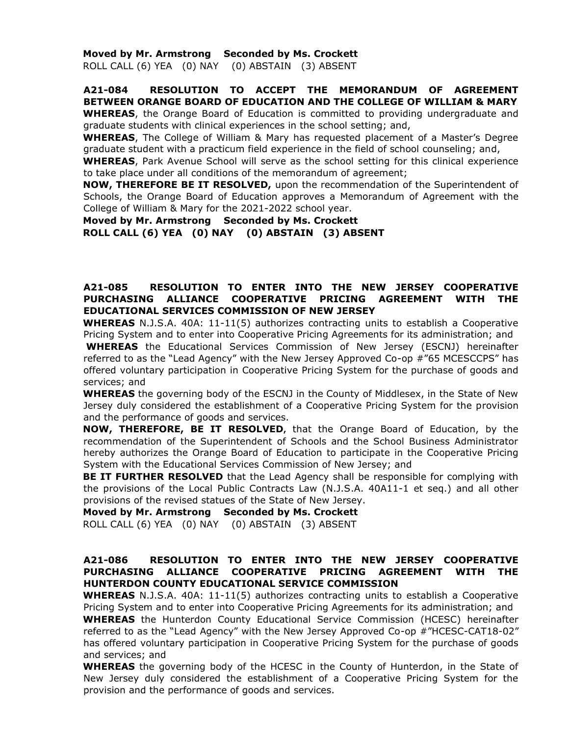#### **Moved by Mr. Armstrong Seconded by Ms. Crockett**

ROLL CALL (6) YEA (0) NAY (0) ABSTAIN (3) ABSENT

# **A21-084 RESOLUTION TO ACCEPT THE MEMORANDUM OF AGREEMENT BETWEEN ORANGE BOARD OF EDUCATION AND THE COLLEGE OF WILLIAM & MARY**

**WHEREAS**, the Orange Board of Education is committed to providing undergraduate and graduate students with clinical experiences in the school setting; and,

**WHEREAS**, The College of William & Mary has requested placement of a Master's Degree graduate student with a practicum field experience in the field of school counseling; and,

**WHEREAS**, Park Avenue School will serve as the school setting for this clinical experience to take place under all conditions of the memorandum of agreement;

**NOW, THEREFORE BE IT RESOLVED,** upon the recommendation of the Superintendent of Schools, the Orange Board of Education approves a Memorandum of Agreement with the College of William & Mary for the 2021-2022 school year.

**Moved by Mr. Armstrong Seconded by Ms. Crockett ROLL CALL (6) YEA (0) NAY (0) ABSTAIN (3) ABSENT**

# **A21-085 RESOLUTION TO ENTER INTO THE NEW JERSEY COOPERATIVE PURCHASING ALLIANCE COOPERATIVE PRICING AGREEMENT WITH THE EDUCATIONAL SERVICES COMMISSION OF NEW JERSEY**

**WHEREAS** N.J.S.A. 40A: 11-11(5) authorizes contracting units to establish a Cooperative Pricing System and to enter into Cooperative Pricing Agreements for its administration; and **WHEREAS** the Educational Services Commission of New Jersey (ESCNJ) hereinafter referred to as the "Lead Agency" with the New Jersey Approved Co-op #"65 MCESCCPS" has offered voluntary participation in Cooperative Pricing System for the purchase of goods and services; and

**WHEREAS** the governing body of the ESCNJ in the County of Middlesex, in the State of New Jersey duly considered the establishment of a Cooperative Pricing System for the provision and the performance of goods and services.

**NOW, THEREFORE, BE IT RESOLVED,** that the Orange Board of Education, by the recommendation of the Superintendent of Schools and the School Business Administrator hereby authorizes the Orange Board of Education to participate in the Cooperative Pricing System with the Educational Services Commission of New Jersey; and

**BE IT FURTHER RESOLVED** that the Lead Agency shall be responsible for complying with the provisions of the Local Public Contracts Law (N.J.S.A. 40A11-1 et seq.) and all other provisions of the revised statues of the State of New Jersey.

**Moved by Mr. Armstrong Seconded by Ms. Crockett**  ROLL CALL (6) YEA (0) NAY (0) ABSTAIN (3) ABSENT

#### **A21-086 RESOLUTION TO ENTER INTO THE NEW JERSEY COOPERATIVE PURCHASING ALLIANCE COOPERATIVE PRICING AGREEMENT WITH THE HUNTERDON COUNTY EDUCATIONAL SERVICE COMMISSION**

**WHEREAS** N.J.S.A. 40A: 11-11(5) authorizes contracting units to establish a Cooperative Pricing System and to enter into Cooperative Pricing Agreements for its administration; and **WHEREAS** the Hunterdon County Educational Service Commission (HCESC) hereinafter referred to as the "Lead Agency" with the New Jersey Approved Co-op #"HCESC-CAT18-02" has offered voluntary participation in Cooperative Pricing System for the purchase of goods and services; and

**WHEREAS** the governing body of the HCESC in the County of Hunterdon, in the State of New Jersey duly considered the establishment of a Cooperative Pricing System for the provision and the performance of goods and services.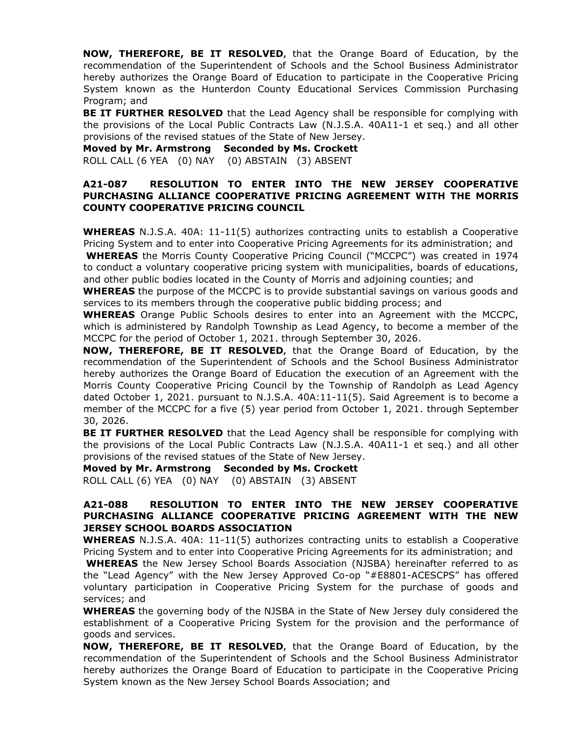**NOW, THEREFORE, BE IT RESOLVED,** that the Orange Board of Education, by the recommendation of the Superintendent of Schools and the School Business Administrator hereby authorizes the Orange Board of Education to participate in the Cooperative Pricing System known as the Hunterdon County Educational Services Commission Purchasing Program; and

**BE IT FURTHER RESOLVED** that the Lead Agency shall be responsible for complying with the provisions of the Local Public Contracts Law (N.J.S.A. 40A11-1 et seq.) and all other provisions of the revised statues of the State of New Jersey.

**Moved by Mr. Armstrong Seconded by Ms. Crockett**  ROLL CALL (6 YEA (0) NAY (0) ABSTAIN (3) ABSENT

#### **A21-087 RESOLUTION TO ENTER INTO THE NEW JERSEY COOPERATIVE PURCHASING ALLIANCE COOPERATIVE PRICING AGREEMENT WITH THE MORRIS COUNTY COOPERATIVE PRICING COUNCIL**

**WHEREAS** N.J.S.A. 40A: 11-11(5) authorizes contracting units to establish a Cooperative Pricing System and to enter into Cooperative Pricing Agreements for its administration; and **WHEREAS** the Morris County Cooperative Pricing Council ("MCCPC") was created in 1974

to conduct a voluntary cooperative pricing system with municipalities, boards of educations, and other public bodies located in the County of Morris and adjoining counties; and

**WHEREAS** the purpose of the MCCPC is to provide substantial savings on various goods and services to its members through the cooperative public bidding process; and

**WHEREAS** Orange Public Schools desires to enter into an Agreement with the MCCPC, which is administered by Randolph Township as Lead Agency, to become a member of the MCCPC for the period of October 1, 2021. through September 30, 2026.

**NOW, THEREFORE, BE IT RESOLVED,** that the Orange Board of Education, by the recommendation of the Superintendent of Schools and the School Business Administrator hereby authorizes the Orange Board of Education the execution of an Agreement with the Morris County Cooperative Pricing Council by the Township of Randolph as Lead Agency dated October 1, 2021. pursuant to N.J.S.A. 40A:11-11(5). Said Agreement is to become a member of the MCCPC for a five (5) year period from October 1, 2021. through September 30, 2026.

**BE IT FURTHER RESOLVED** that the Lead Agency shall be responsible for complying with the provisions of the Local Public Contracts Law (N.J.S.A. 40A11-1 et seq.) and all other provisions of the revised statues of the State of New Jersey.

**Moved by Mr. Armstrong Seconded by Ms. Crockett** 

ROLL CALL (6) YEA (0) NAY (0) ABSTAIN (3) ABSENT

# **A21-088 RESOLUTION TO ENTER INTO THE NEW JERSEY COOPERATIVE PURCHASING ALLIANCE COOPERATIVE PRICING AGREEMENT WITH THE NEW JERSEY SCHOOL BOARDS ASSOCIATION**

**WHEREAS** N.J.S.A. 40A: 11-11(5) authorizes contracting units to establish a Cooperative Pricing System and to enter into Cooperative Pricing Agreements for its administration; and **WHEREAS** the New Jersey School Boards Association (NJSBA) hereinafter referred to as the "Lead Agency" with the New Jersey Approved Co-op "#E8801-ACESCPS" has offered voluntary participation in Cooperative Pricing System for the purchase of goods and services; and

**WHEREAS** the governing body of the NJSBA in the State of New Jersey duly considered the establishment of a Cooperative Pricing System for the provision and the performance of goods and services.

**NOW, THEREFORE, BE IT RESOLVED,** that the Orange Board of Education, by the recommendation of the Superintendent of Schools and the School Business Administrator hereby authorizes the Orange Board of Education to participate in the Cooperative Pricing System known as the New Jersey School Boards Association; and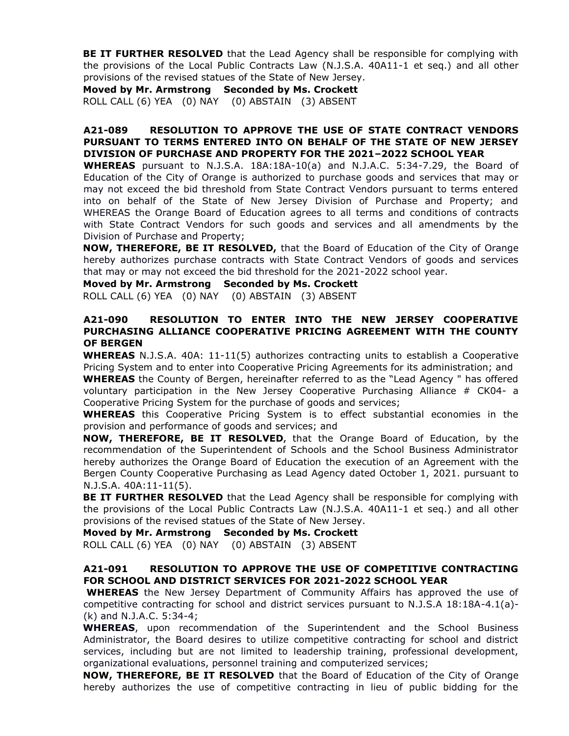**BE IT FURTHER RESOLVED** that the Lead Agency shall be responsible for complying with the provisions of the Local Public Contracts Law (N.J.S.A. 40A11-1 et seq.) and all other provisions of the revised statues of the State of New Jersey.

**Moved by Mr. Armstrong Seconded by Ms. Crockett**  ROLL CALL (6) YEA (0) NAY (0) ABSTAIN (3) ABSENT

# **A21-089 RESOLUTION TO APPROVE THE USE OF STATE CONTRACT VENDORS PURSUANT TO TERMS ENTERED INTO ON BEHALF OF THE STATE OF NEW JERSEY DIVISION OF PURCHASE AND PROPERTY FOR THE 2021–2022 SCHOOL YEAR**

**WHEREAS** pursuant to N.J.S.A. 18A:18A-10(a) and N.J.A.C. 5:34-7.29, the Board of Education of the City of Orange is authorized to purchase goods and services that may or may not exceed the bid threshold from State Contract Vendors pursuant to terms entered into on behalf of the State of New Jersey Division of Purchase and Property; and WHEREAS the Orange Board of Education agrees to all terms and conditions of contracts with State Contract Vendors for such goods and services and all amendments by the Division of Purchase and Property;

**NOW, THEREFORE, BE IT RESOLVED,** that the Board of Education of the City of Orange hereby authorizes purchase contracts with State Contract Vendors of goods and services that may or may not exceed the bid threshold for the 2021-2022 school year.

**Moved by Mr. Armstrong Seconded by Ms. Crockett** 

ROLL CALL (6) YEA (0) NAY (0) ABSTAIN (3) ABSENT

# **A21-090 RESOLUTION TO ENTER INTO THE NEW JERSEY COOPERATIVE PURCHASING ALLIANCE COOPERATIVE PRICING AGREEMENT WITH THE COUNTY OF BERGEN**

**WHEREAS** N.J.S.A. 40A: 11-11(5) authorizes contracting units to establish a Cooperative Pricing System and to enter into Cooperative Pricing Agreements for its administration; and

**WHEREAS** the County of Bergen, hereinafter referred to as the "Lead Agency " has offered voluntary participation in the New Jersey Cooperative Purchasing Alliance # CK04- a Cooperative Pricing System for the purchase of goods and services;

**WHEREAS** this Cooperative Pricing System is to effect substantial economies in the provision and performance of goods and services; and

**NOW, THEREFORE, BE IT RESOLVED,** that the Orange Board of Education, by the recommendation of the Superintendent of Schools and the School Business Administrator hereby authorizes the Orange Board of Education the execution of an Agreement with the Bergen County Cooperative Purchasing as Lead Agency dated October 1, 2021. pursuant to N.J.S.A. 40A:11-11(5).

**BE IT FURTHER RESOLVED** that the Lead Agency shall be responsible for complying with the provisions of the Local Public Contracts Law (N.J.S.A. 40A11-1 et seq.) and all other provisions of the revised statues of the State of New Jersey.

**Moved by Mr. Armstrong Seconded by Ms. Crockett** 

ROLL CALL (6) YEA (0) NAY (0) ABSTAIN (3) ABSENT

# **A21-091 RESOLUTION TO APPROVE THE USE OF COMPETITIVE CONTRACTING FOR SCHOOL AND DISTRICT SERVICES FOR 2021-2022 SCHOOL YEAR**

**WHEREAS** the New Jersey Department of Community Affairs has approved the use of competitive contracting for school and district services pursuant to N.J.S.A 18:18A-4.1(a)- (k) and N.J.A.C. 5:34-4;

**WHEREAS**, upon recommendation of the Superintendent and the School Business Administrator, the Board desires to utilize competitive contracting for school and district services, including but are not limited to leadership training, professional development, organizational evaluations, personnel training and computerized services;

**NOW, THEREFORE, BE IT RESOLVED** that the Board of Education of the City of Orange hereby authorizes the use of competitive contracting in lieu of public bidding for the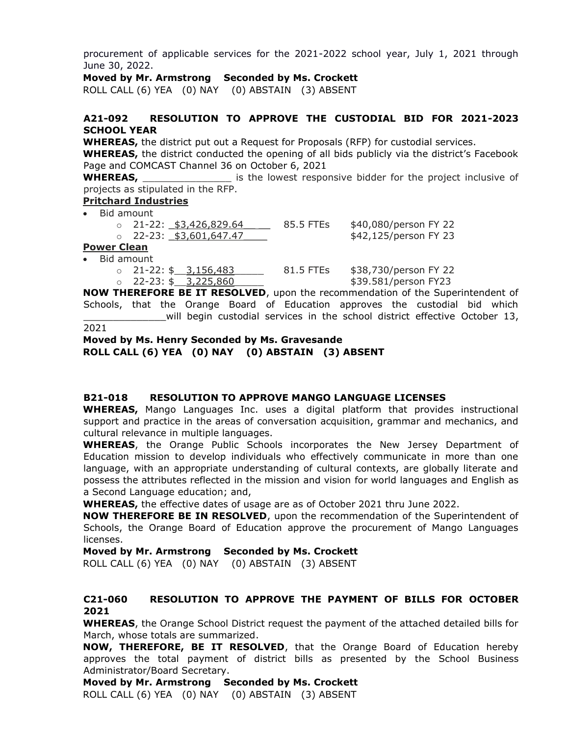procurement of applicable services for the 2021-2022 school year, July 1, 2021 through June 30, 2022.

**Moved by Mr. Armstrong Seconded by Ms. Crockett** 

ROLL CALL (6) YEA (0) NAY (0) ABSTAIN (3) ABSENT

# **A21-092 RESOLUTION TO APPROVE THE CUSTODIAL BID FOR 2021-2023 SCHOOL YEAR**

**WHEREAS,** the district put out a Request for Proposals (RFP) for custodial services.

**WHEREAS,** the district conducted the opening of all bids publicly via the district's Facebook Page and COMCAST Channel 36 on October 6, 2021

**WHEREAS, \_\_\_\_\_\_\_\_\_\_\_\_\_\_\_\_** is the lowest responsive bidder for the project inclusive of projects as stipulated in the RFP.

#### **Pritchard Industries**

Bid amount

| . . <b>. .</b> |  |                                |           |                       |  |
|----------------|--|--------------------------------|-----------|-----------------------|--|
|                |  | 。 22-23: <u>\$3,601,647.47</u> |           | \$42,125/person FY 23 |  |
|                |  | $\circ$ 21-22: \$3,426,829.64  | 85.5 FTEs | \$40,080/person FY 22 |  |
|                |  |                                |           |                       |  |

#### **Power Clean** • Bid amount

o 21-22: \$ 3,156,483 81.5 FTEs \$38,730/person FY 22  $\circ$  22-23: \$ 3,225,860 \$39.581/person FY23

**NOW THEREFORE BE IT RESOLVED**, upon the recommendation of the Superintendent of Schools, that the Orange Board of Education approves the custodial bid which will begin custodial services in the school district effective October 13,

```
2021
```
# **Moved by Ms. Henry Seconded by Ms. Gravesande ROLL CALL (6) YEA (0) NAY (0) ABSTAIN (3) ABSENT**

# **B21-018 RESOLUTION TO APPROVE MANGO LANGUAGE LICENSES**

**WHEREAS,** Mango Languages Inc. uses a digital platform that provides instructional support and practice in the areas of conversation acquisition, grammar and mechanics, and cultural relevance in multiple languages.

**WHEREAS**, the Orange Public Schools incorporates the New Jersey Department of Education mission to develop individuals who effectively communicate in more than one language, with an appropriate understanding of cultural contexts, are globally literate and possess the attributes reflected in the mission and vision for world languages and English as a Second Language education; and,

**WHEREAS,** the effective dates of usage are as of October 2021 thru June 2022.

**NOW THEREFORE BE IN RESOLVED**, upon the recommendation of the Superintendent of Schools, the Orange Board of Education approve the procurement of Mango Languages licenses.

**Moved by Mr. Armstrong Seconded by Ms. Crockett** 

ROLL CALL (6) YEA (0) NAY (0) ABSTAIN (3) ABSENT

# **C21-060 RESOLUTION TO APPROVE THE PAYMENT OF BILLS FOR OCTOBER 2021**

**WHEREAS**, the Orange School District request the payment of the attached detailed bills for March, whose totals are summarized.

**NOW, THEREFORE, BE IT RESOLVED**, that the Orange Board of Education hereby approves the total payment of district bills as presented by the School Business Administrator/Board Secretary.

#### **Moved by Mr. Armstrong Seconded by Ms. Crockett**

ROLL CALL (6) YEA (0) NAY (0) ABSTAIN (3) ABSENT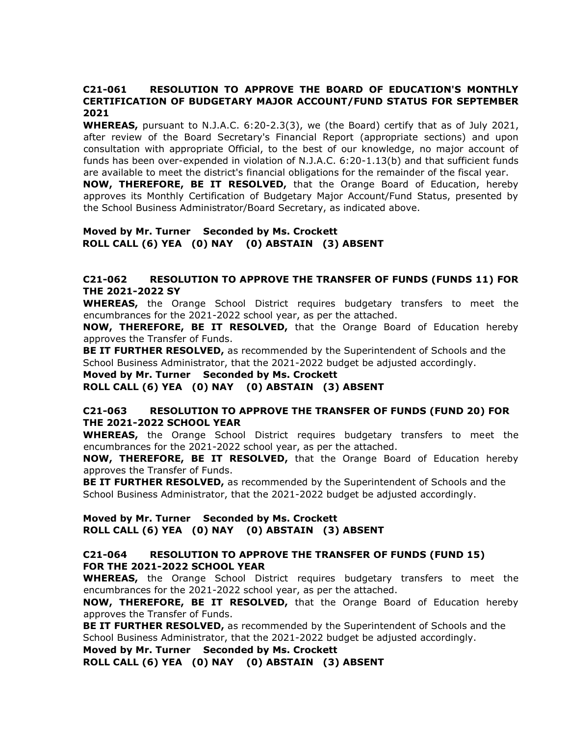# **C21-061 RESOLUTION TO APPROVE THE BOARD OF EDUCATION'S MONTHLY CERTIFICATION OF BUDGETARY MAJOR ACCOUNT/FUND STATUS FOR SEPTEMBER 2021**

**WHEREAS,** pursuant to N.J.A.C. 6:20-2.3(3), we (the Board) certify that as of July 2021, after review of the Board Secretary's Financial Report (appropriate sections) and upon consultation with appropriate Official, to the best of our knowledge, no major account of funds has been over-expended in violation of N.J.A.C. 6:20-1.13(b) and that sufficient funds are available to meet the district's financial obligations for the remainder of the fiscal year.

**NOW, THEREFORE, BE IT RESOLVED,** that the Orange Board of Education, hereby approves its Monthly Certification of Budgetary Major Account/Fund Status, presented by the School Business Administrator/Board Secretary, as indicated above.

#### **Moved by Mr. Turner Seconded by Ms. Crockett ROLL CALL (6) YEA (0) NAY (0) ABSTAIN (3) ABSENT**

# **C21-062 RESOLUTION TO APPROVE THE TRANSFER OF FUNDS (FUNDS 11) FOR THE 2021-2022 SY**

**WHEREAS,** the Orange School District requires budgetary transfers to meet the encumbrances for the 2021-2022 school year, as per the attached.

**NOW, THEREFORE, BE IT RESOLVED,** that the Orange Board of Education hereby approves the Transfer of Funds.

**BE IT FURTHER RESOLVED,** as recommended by the Superintendent of Schools and the School Business Administrator, that the 2021-2022 budget be adjusted accordingly.

#### **Moved by Mr. Turner Seconded by Ms. Crockett**

**ROLL CALL (6) YEA (0) NAY (0) ABSTAIN (3) ABSENT** 

# **C21-063 RESOLUTION TO APPROVE THE TRANSFER OF FUNDS (FUND 20) FOR THE 2021-2022 SCHOOL YEAR**

**WHEREAS,** the Orange School District requires budgetary transfers to meet the encumbrances for the 2021-2022 school year, as per the attached.

**NOW, THEREFORE, BE IT RESOLVED,** that the Orange Board of Education hereby approves the Transfer of Funds.

**BE IT FURTHER RESOLVED,** as recommended by the Superintendent of Schools and the School Business Administrator, that the 2021-2022 budget be adjusted accordingly.

#### **Moved by Mr. Turner Seconded by Ms. Crockett ROLL CALL (6) YEA (0) NAY (0) ABSTAIN (3) ABSENT**

#### **C21-064 RESOLUTION TO APPROVE THE TRANSFER OF FUNDS (FUND 15) FOR THE 2021-2022 SCHOOL YEAR**

**WHEREAS,** the Orange School District requires budgetary transfers to meet the encumbrances for the 2021-2022 school year, as per the attached.

**NOW, THEREFORE, BE IT RESOLVED,** that the Orange Board of Education hereby approves the Transfer of Funds.

**BE IT FURTHER RESOLVED,** as recommended by the Superintendent of Schools and the School Business Administrator, that the 2021-2022 budget be adjusted accordingly.

**Moved by Mr. Turner Seconded by Ms. Crockett** 

**ROLL CALL (6) YEA (0) NAY (0) ABSTAIN (3) ABSENT**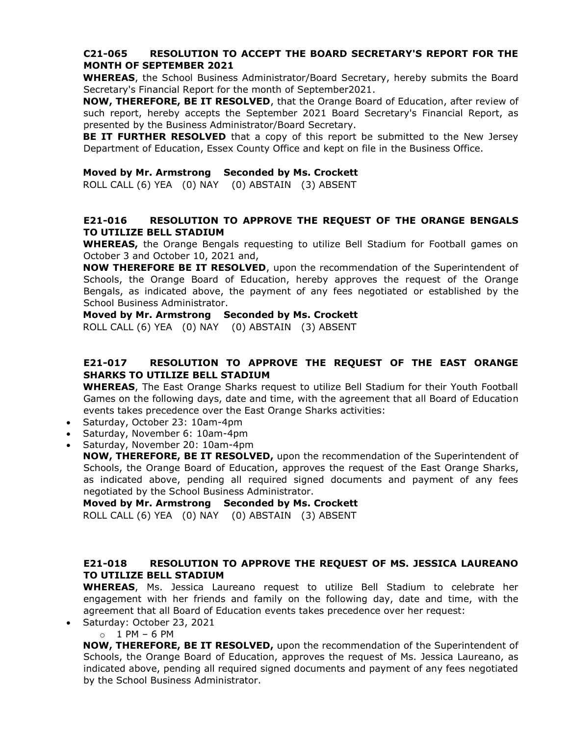# **C21-065 RESOLUTION TO ACCEPT THE BOARD SECRETARY'S REPORT FOR THE MONTH OF SEPTEMBER 2021**

**WHEREAS**, the School Business Administrator/Board Secretary, hereby submits the Board Secretary's Financial Report for the month of September2021.

**NOW, THEREFORE, BE IT RESOLVED**, that the Orange Board of Education, after review of such report, hereby accepts the September 2021 Board Secretary's Financial Report, as presented by the Business Administrator/Board Secretary.

**BE IT FURTHER RESOLVED** that a copy of this report be submitted to the New Jersey Department of Education, Essex County Office and kept on file in the Business Office.

#### **Moved by Mr. Armstrong Seconded by Ms. Crockett**

ROLL CALL (6) YEA (0) NAY (0) ABSTAIN (3) ABSENT

# **E21-016 RESOLUTION TO APPROVE THE REQUEST OF THE ORANGE BENGALS TO UTILIZE BELL STADIUM**

**WHEREAS,** the Orange Bengals requesting to utilize Bell Stadium for Football games on October 3 and October 10, 2021 and,

**NOW THEREFORE BE IT RESOLVED**, upon the recommendation of the Superintendent of Schools, the Orange Board of Education, hereby approves the request of the Orange Bengals, as indicated above, the payment of any fees negotiated or established by the School Business Administrator.

#### **Moved by Mr. Armstrong Seconded by Ms. Crockett**

ROLL CALL (6) YEA (0) NAY (0) ABSTAIN (3) ABSENT

# **E21-017 RESOLUTION TO APPROVE THE REQUEST OF THE EAST ORANGE SHARKS TO UTILIZE BELL STADIUM**

**WHEREAS**, The East Orange Sharks request to utilize Bell Stadium for their Youth Football Games on the following days, date and time, with the agreement that all Board of Education events takes precedence over the East Orange Sharks activities:

- Saturday, October 23: 10am-4pm
- Saturday, November 6: 10am-4pm
- Saturday, November 20: 10am-4pm

**NOW, THEREFORE, BE IT RESOLVED,** upon the recommendation of the Superintendent of Schools, the Orange Board of Education, approves the request of the East Orange Sharks, as indicated above, pending all required signed documents and payment of any fees negotiated by the School Business Administrator.

**Moved by Mr. Armstrong Seconded by Ms. Crockett** 

ROLL CALL (6) YEA (0) NAY (0) ABSTAIN (3) ABSENT

# **E21-018 RESOLUTION TO APPROVE THE REQUEST OF MS. JESSICA LAUREANO TO UTILIZE BELL STADIUM**

**WHEREAS**, Ms. Jessica Laureano request to utilize Bell Stadium to celebrate her engagement with her friends and family on the following day, date and time, with the agreement that all Board of Education events takes precedence over her request:

- Saturday: October 23, 2021
	- $o$  1 PM 6 PM

**NOW, THEREFORE, BE IT RESOLVED,** upon the recommendation of the Superintendent of Schools, the Orange Board of Education, approves the request of Ms. Jessica Laureano, as indicated above, pending all required signed documents and payment of any fees negotiated by the School Business Administrator.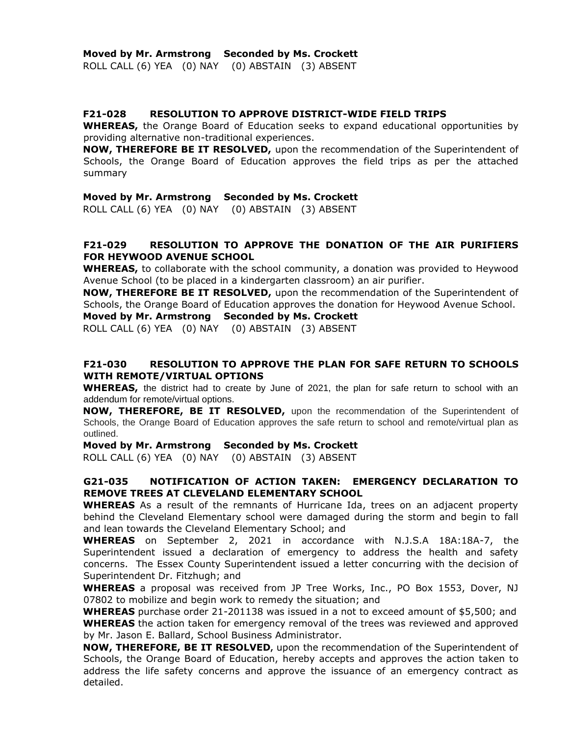ROLL CALL (6) YEA (0) NAY (0) ABSTAIN (3) ABSENT

#### **F21-028 RESOLUTION TO APPROVE DISTRICT-WIDE FIELD TRIPS**

**WHEREAS,** the Orange Board of Education seeks to expand educational opportunities by providing alternative non-traditional experiences.

**NOW, THEREFORE BE IT RESOLVED,** upon the recommendation of the Superintendent of Schools, the Orange Board of Education approves the field trips as per the attached summary

#### **Moved by Mr. Armstrong Seconded by Ms. Crockett**

ROLL CALL (6) YEA (0) NAY (0) ABSTAIN (3) ABSENT

# **F21-029 RESOLUTION TO APPROVE THE DONATION OF THE AIR PURIFIERS FOR HEYWOOD AVENUE SCHOOL**

**WHEREAS,** to collaborate with the school community, a donation was provided to Heywood Avenue School (to be placed in a kindergarten classroom) an air purifier.

**NOW, THEREFORE BE IT RESOLVED,** upon the recommendation of the Superintendent of Schools, the Orange Board of Education approves the donation for Heywood Avenue School.

**Moved by Mr. Armstrong Seconded by Ms. Crockett** 

ROLL CALL (6) YEA (0) NAY (0) ABSTAIN (3) ABSENT

# **F21-030 RESOLUTION TO APPROVE THE PLAN FOR SAFE RETURN TO SCHOOLS WITH REMOTE/VIRTUAL OPTIONS**

**WHEREAS,** the district had to create by June of 2021, the plan for safe return to school with an addendum for remote/virtual options.

**NOW, THEREFORE, BE IT RESOLVED,** upon the recommendation of the Superintendent of Schools, the Orange Board of Education approves the safe return to school and remote/virtual plan as outlined.

**Moved by Mr. Armstrong Seconded by Ms. Crockett** 

ROLL CALL (6) YEA (0) NAY (0) ABSTAIN (3) ABSENT

# **G21-035 NOTIFICATION OF ACTION TAKEN: EMERGENCY DECLARATION TO REMOVE TREES AT CLEVELAND ELEMENTARY SCHOOL**

**WHEREAS** As a result of the remnants of Hurricane Ida, trees on an adjacent property behind the Cleveland Elementary school were damaged during the storm and begin to fall and lean towards the Cleveland Elementary School; and

**WHEREAS** on September 2, 2021 in accordance with N.J.S.A 18A:18A-7, the Superintendent issued a declaration of emergency to address the health and safety concerns. The Essex County Superintendent issued a letter concurring with the decision of Superintendent Dr. Fitzhugh; and

**WHEREAS** a proposal was received from JP Tree Works, Inc., PO Box 1553, Dover, NJ 07802 to mobilize and begin work to remedy the situation; and

**WHEREAS** purchase order 21-201138 was issued in a not to exceed amount of \$5,500; and **WHEREAS** the action taken for emergency removal of the trees was reviewed and approved by Mr. Jason E. Ballard, School Business Administrator.

**NOW, THEREFORE, BE IT RESOLVED,** upon the recommendation of the Superintendent of Schools, the Orange Board of Education, hereby accepts and approves the action taken to address the life safety concerns and approve the issuance of an emergency contract as detailed.